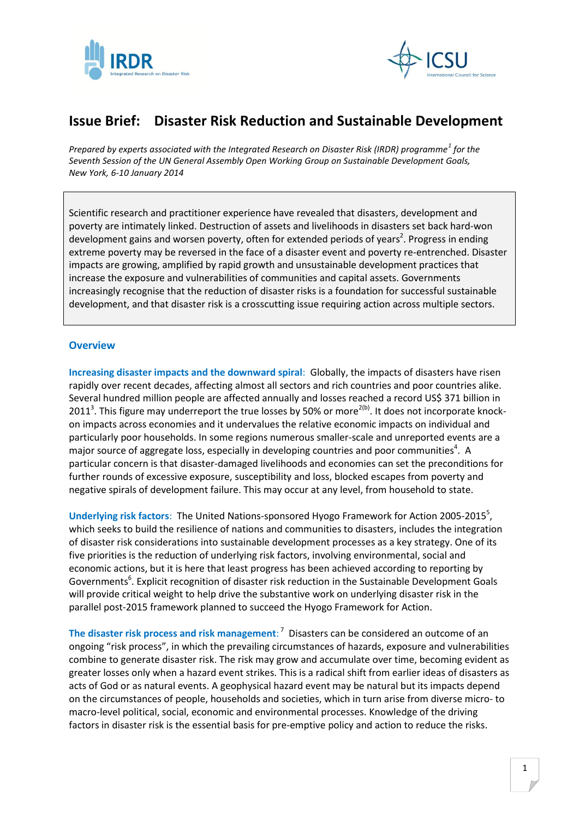



## **Issue Brief: Disaster Risk Reduction and Sustainable Development**

*Prepared by experts associated with the Integrated Research on Disaster Risk (IRDR) programme<sup>1</sup> for the Seventh Session of the UN General Assembly Open Working Group on Sustainable Development Goals, New York, 6-10 January 2014*

Scientific research and practitioner experience have revealed that disasters, development and poverty are intimately linked. Destruction of assets and livelihoods in disasters set back hard-won development gains and worsen poverty, often for extended periods of years<sup>2</sup>. Progress in ending extreme poverty may be reversed in the face of a disaster event and poverty re-entrenched. Disaster impacts are growing, amplified by rapid growth and unsustainable development practices that increase the exposure and vulnerabilities of communities and capital assets. Governments increasingly recognise that the reduction of disaster risks is a foundation for successful sustainable development, and that disaster risk is a crosscutting issue requiring action across multiple sectors.

## **Overview**

**Increasing disaster impacts and the downward spiral**: Globally, the impacts of disasters have risen rapidly over recent decades, affecting almost all sectors and rich countries and poor countries alike. Several hundred million people are affected annually and losses reached a record US\$ 371 billion in 2011<sup>3</sup>. This figure may underreport the true losses by 50% or more<sup>2(b)</sup>. It does not incorporate knockon impacts across economies and it undervalues the relative economic impacts on individual and particularly poor households. In some regions numerous smaller-scale and unreported events are a major source of aggregate loss, especially in developing countries and poor communities<sup>4</sup>. A particular concern is that disaster-damaged livelihoods and economies can set the preconditions for further rounds of excessive exposure, susceptibility and loss, blocked escapes from poverty and negative spirals of development failure. This may occur at any level, from household to state.

Underlying risk factors: The United Nations-sponsored Hyogo Framework for Action 2005-2015<sup>5</sup>, which seeks to build the resilience of nations and communities to disasters, includes the integration of disaster risk considerations into sustainable development processes as a key strategy. One of its five priorities is the reduction of underlying risk factors, involving environmental, social and economic actions, but it is here that least progress has been achieved according to reporting by Governments<sup>6</sup>. Explicit recognition of disaster risk reduction in the Sustainable Development Goals will provide critical weight to help drive the substantive work on underlying disaster risk in the parallel post-2015 framework planned to succeed the Hyogo Framework for Action.

The disaster risk process and risk management:<sup>7</sup> Disasters can be considered an outcome of an ongoing "risk process", in which the prevailing circumstances of hazards, exposure and vulnerabilities combine to generate disaster risk. The risk may grow and accumulate over time, becoming evident as greater losses only when a hazard event strikes. This is a radical shift from earlier ideas of disasters as acts of God or as natural events. A geophysical hazard event may be natural but its impacts depend on the circumstances of people, households and societies, which in turn arise from diverse micro- to macro-level political, social, economic and environmental processes. Knowledge of the driving factors in disaster risk is the essential basis for pre-emptive policy and action to reduce the risks.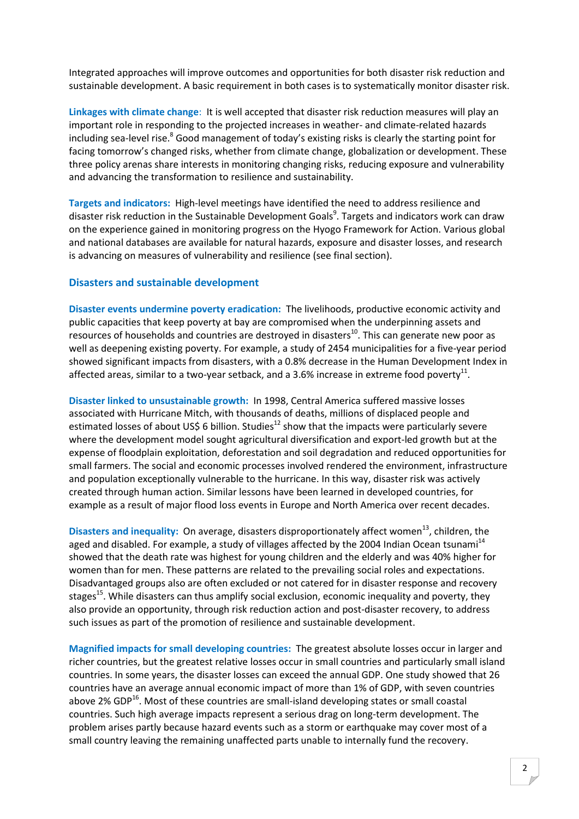Integrated approaches will improve outcomes and opportunities for both disaster risk reduction and sustainable development. A basic requirement in both cases is to systematically monitor disaster risk.

**Linkages with climate change**: It is well accepted that disaster risk reduction measures will play an important role in responding to the projected increases in weather- and climate-related hazards including sea-level rise.<sup>8</sup> Good management of today's existing risks is clearly the starting point for facing tomorrow's changed risks, whether from climate change, globalization or development. These three policy arenas share interests in monitoring changing risks, reducing exposure and vulnerability and advancing the transformation to resilience and sustainability.

**Targets and indicators:** High-level meetings have identified the need to address resilience and disaster risk reduction in the Sustainable Development Goals<sup>9</sup>. Targets and indicators work can draw on the experience gained in monitoring progress on the Hyogo Framework for Action. Various global and national databases are available for natural hazards, exposure and disaster losses, and research is advancing on measures of vulnerability and resilience (see final section).

## **Disasters and sustainable development**

**Disaster events undermine poverty eradication:** The livelihoods, productive economic activity and public capacities that keep poverty at bay are compromised when the underpinning assets and resources of households and countries are destroyed in disasters<sup>10</sup>. This can generate new poor as well as deepening existing poverty. For example, a study of 2454 municipalities for a five-year period showed significant impacts from disasters, with a 0.8% decrease in the Human Development Index in affected areas, similar to a two-year setback, and a 3.6% increase in extreme food poverty<sup>11</sup>.

**Disaster linked to unsustainable growth:** In 1998, Central America suffered massive losses associated with Hurricane Mitch, with thousands of deaths, millions of displaced people and estimated losses of about US\$ 6 billion. Studies<sup>12</sup> show that the impacts were particularly severe where the development model sought agricultural diversification and export-led growth but at the expense of floodplain exploitation, deforestation and soil degradation and reduced opportunities for small farmers. The social and economic processes involved rendered the environment, infrastructure and population exceptionally vulnerable to the hurricane. In this way, disaster risk was actively created through human action. Similar lessons have been learned in developed countries, for example as a result of major flood loss events in Europe and North America over recent decades.

**Disasters and inequality:** On average, disasters disproportionately affect women<sup>13</sup>, children, the aged and disabled. For example, a study of villages affected by the 2004 Indian Ocean tsunami<sup>14</sup> showed that the death rate was highest for young children and the elderly and was 40% higher for women than for men. These patterns are related to the prevailing social roles and expectations. Disadvantaged groups also are often excluded or not catered for in disaster response and recovery stages<sup>15</sup>. While disasters can thus amplify social exclusion, economic inequality and poverty, they also provide an opportunity, through risk reduction action and post-disaster recovery, to address such issues as part of the promotion of resilience and sustainable development.

**Magnified impacts for small developing countries:** The greatest absolute losses occur in larger and richer countries, but the greatest relative losses occur in small countries and particularly small island countries. In some years, the disaster losses can exceed the annual GDP. One study showed that 26 countries have an average annual economic impact of more than 1% of GDP, with seven countries above 2% GDP $^{16}$ . Most of these countries are small-island developing states or small coastal countries. Such high average impacts represent a serious drag on long-term development. The problem arises partly because hazard events such as a storm or earthquake may cover most of a small country leaving the remaining unaffected parts unable to internally fund the recovery.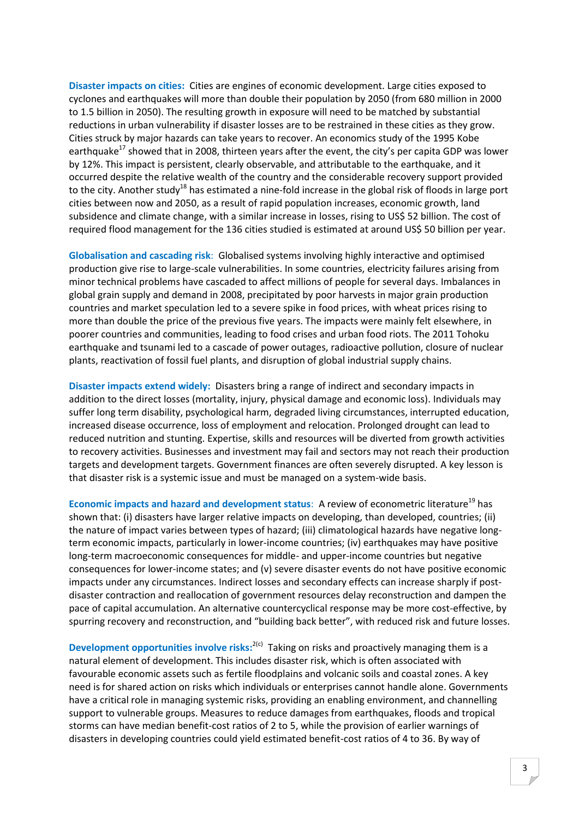**Disaster impacts on cities:** Cities are engines of economic development. Large cities exposed to cyclones and earthquakes will more than double their population by 2050 (from 680 million in 2000 to 1.5 billion in 2050). The resulting growth in exposure will need to be matched by substantial reductions in urban vulnerability if disaster losses are to be restrained in these cities as they grow. Cities struck by major hazards can take years to recover. An economics study of the 1995 Kobe earthquake<sup>17</sup> showed that in 2008, thirteen years after the event, the city's per capita GDP was lower by 12%. This impact is persistent, clearly observable, and attributable to the earthquake, and it occurred despite the relative wealth of the country and the considerable recovery support provided to the city. Another study<sup>18</sup> has estimated a nine-fold increase in the global risk of floods in large port cities between now and 2050, as a result of rapid population increases, economic growth, land subsidence and climate change, with a similar increase in losses, rising to US\$ 52 billion. The cost of required flood management for the 136 cities studied is estimated at around US\$ 50 billion per year.

**Globalisation and cascading risk**: Globalised systems involving highly interactive and optimised production give rise to large-scale vulnerabilities. In some countries, electricity failures arising from minor technical problems have cascaded to affect millions of people for several days. Imbalances in global grain supply and demand in 2008, precipitated by poor harvests in major grain production countries and market speculation led to a severe spike in food prices, with wheat prices rising to more than double the price of the previous five years. The impacts were mainly felt elsewhere, in poorer countries and communities, leading to food crises and urban food riots. The 2011 Tohoku earthquake and tsunami led to a cascade of power outages, radioactive pollution, closure of nuclear plants, reactivation of fossil fuel plants, and disruption of global industrial supply chains.

**Disaster impacts extend widely:** Disasters bring a range of indirect and secondary impacts in addition to the direct losses (mortality, injury, physical damage and economic loss). Individuals may suffer long term disability, psychological harm, degraded living circumstances, interrupted education, increased disease occurrence, loss of employment and relocation. Prolonged drought can lead to reduced nutrition and stunting. Expertise, skills and resources will be diverted from growth activities to recovery activities. Businesses and investment may fail and sectors may not reach their production targets and development targets. Government finances are often severely disrupted. A key lesson is that disaster risk is a systemic issue and must be managed on a system-wide basis.

**Economic impacts and hazard and development status:** A review of econometric literature<sup>19</sup> has shown that: (i) disasters have larger relative impacts on developing, than developed, countries; (ii) the nature of impact varies between types of hazard; (iii) climatological hazards have negative longterm economic impacts, particularly in lower-income countries; (iv) earthquakes may have positive long-term macroeconomic consequences for middle- and upper-income countries but negative consequences for lower-income states; and (v) severe disaster events do not have positive economic impacts under any circumstances. Indirect losses and secondary effects can increase sharply if postdisaster contraction and reallocation of government resources delay reconstruction and dampen the pace of capital accumulation. An alternative countercyclical response may be more cost-effective, by spurring recovery and reconstruction, and "building back better", with reduced risk and future losses.

Development opportunities involve risks:<sup>2(c)</sup> Taking on risks and proactively managing them is a natural element of development. This includes disaster risk, which is often associated with favourable economic assets such as fertile floodplains and volcanic soils and coastal zones. A key need is for shared action on risks which individuals or enterprises cannot handle alone. Governments have a critical role in managing systemic risks, providing an enabling environment, and channelling support to vulnerable groups. Measures to reduce damages from earthquakes, floods and tropical storms can have median benefit-cost ratios of 2 to 5, while the provision of earlier warnings of disasters in developing countries could yield estimated benefit-cost ratios of 4 to 36. By way of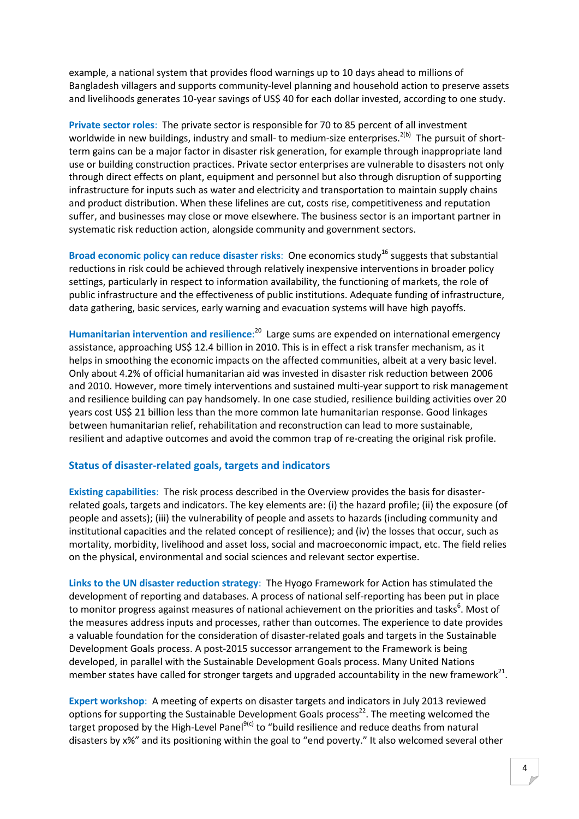example, a national system that provides flood warnings up to 10 days ahead to millions of Bangladesh villagers and supports community-level planning and household action to preserve assets and livelihoods generates 10-year savings of US\$ 40 for each dollar invested, according to one study.

**Private sector roles**: The private sector is responsible for 70 to 85 percent of all investment worldwide in new buildings, industry and small- to medium-size enterprises.<sup>2(b)</sup> The pursuit of shortterm gains can be a major factor in disaster risk generation, for example through inappropriate land use or building construction practices. Private sector enterprises are vulnerable to disasters not only through direct effects on plant, equipment and personnel but also through disruption of supporting infrastructure for inputs such as water and electricity and transportation to maintain supply chains and product distribution. When these lifelines are cut, costs rise, competitiveness and reputation suffer, and businesses may close or move elsewhere. The business sector is an important partner in systematic risk reduction action, alongside community and government sectors.

**Broad economic policy can reduce disaster risks:** One economics study<sup>16</sup> suggests that substantial reductions in risk could be achieved through relatively inexpensive interventions in broader policy settings, particularly in respect to information availability, the functioning of markets, the role of public infrastructure and the effectiveness of public institutions. Adequate funding of infrastructure, data gathering, basic services, early warning and evacuation systems will have high payoffs.

**Humanitarian intervention and resilience**: <sup>20</sup> Large sums are expended on international emergency assistance, approaching US\$ 12.4 billion in 2010. This is in effect a risk transfer mechanism, as it helps in smoothing the economic impacts on the affected communities, albeit at a very basic level. Only about 4.2% of official humanitarian aid was invested in disaster risk reduction between 2006 and 2010. However, more timely interventions and sustained multi-year support to risk management and resilience building can pay handsomely. In one case studied, resilience building activities over 20 years cost US\$ 21 billion less than the more common late humanitarian response. Good linkages between humanitarian relief, rehabilitation and reconstruction can lead to more sustainable, resilient and adaptive outcomes and avoid the common trap of re-creating the original risk profile.

## **Status of disaster-related goals, targets and indicators**

**Existing capabilities**: The risk process described in the Overview provides the basis for disasterrelated goals, targets and indicators. The key elements are: (i) the hazard profile; (ii) the exposure (of people and assets); (iii) the vulnerability of people and assets to hazards (including community and institutional capacities and the related concept of resilience); and (iv) the losses that occur, such as mortality, morbidity, livelihood and asset loss, social and macroeconomic impact, etc. The field relies on the physical, environmental and social sciences and relevant sector expertise.

**Links to the UN disaster reduction strategy**: The Hyogo Framework for Action has stimulated the development of reporting and databases. A process of national self-reporting has been put in place to monitor progress against measures of national achievement on the priorities and tasks<sup>6</sup>. Most of the measures address inputs and processes, rather than outcomes. The experience to date provides a valuable foundation for the consideration of disaster-related goals and targets in the Sustainable Development Goals process. A post-2015 successor arrangement to the Framework is being developed, in parallel with the Sustainable Development Goals process. Many United Nations member states have called for stronger targets and upgraded accountability in the new framework<sup>21</sup>.

**Expert workshop**: A meeting of experts on disaster targets and indicators in July 2013 reviewed options for supporting the Sustainable Development Goals process<sup>22</sup>. The meeting welcomed the target proposed by the High-Level Panel<sup>9(c)</sup> to "build resilience and reduce deaths from natural disasters by x%" and its positioning within the goal to "end poverty." It also welcomed several other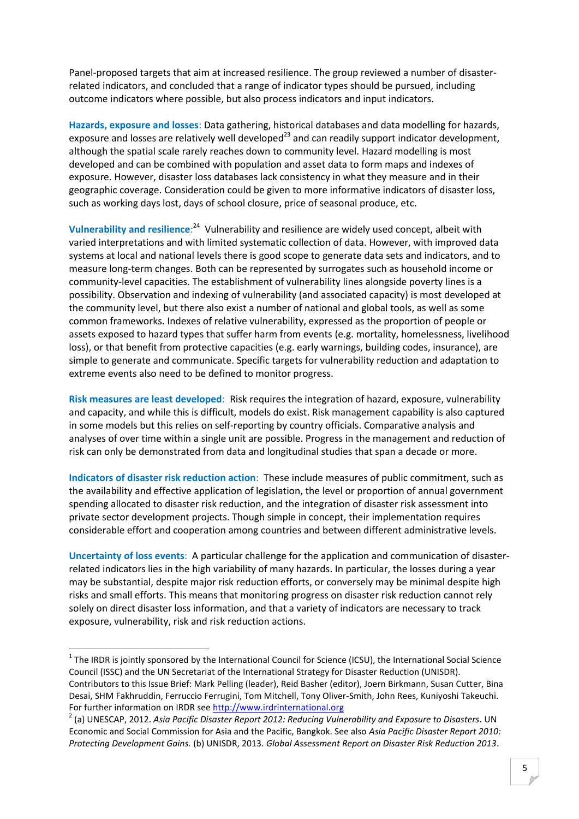Panel-proposed targets that aim at increased resilience. The group reviewed a number of disasterrelated indicators, and concluded that a range of indicator types should be pursued, including outcome indicators where possible, but also process indicators and input indicators.

**Hazards, exposure and losses**: Data gathering, historical databases and data modelling for hazards, exposure and losses are relatively well developed $^{23}$  and can readily support indicator development, although the spatial scale rarely reaches down to community level. Hazard modelling is most developed and can be combined with population and asset data to form maps and indexes of exposure. However, disaster loss databases lack consistency in what they measure and in their geographic coverage. Consideration could be given to more informative indicators of disaster loss, such as working days lost, days of school closure, price of seasonal produce, etc.

Vulnerability and resilience:<sup>24</sup> Vulnerability and resilience are widely used concept, albeit with varied interpretations and with limited systematic collection of data. However, with improved data systems at local and national levels there is good scope to generate data sets and indicators, and to measure long-term changes. Both can be represented by surrogates such as household income or community-level capacities. The establishment of vulnerability lines alongside poverty lines is a possibility. Observation and indexing of vulnerability (and associated capacity) is most developed at the community level, but there also exist a number of national and global tools, as well as some common frameworks. Indexes of relative vulnerability, expressed as the proportion of people or assets exposed to hazard types that suffer harm from events (e.g. mortality, homelessness, livelihood loss), or that benefit from protective capacities (e.g. early warnings, building codes, insurance), are simple to generate and communicate. Specific targets for vulnerability reduction and adaptation to extreme events also need to be defined to monitor progress.

**Risk measures are least developed**: Risk requires the integration of hazard, exposure, vulnerability and capacity, and while this is difficult, models do exist. Risk management capability is also captured in some models but this relies on self-reporting by country officials. Comparative analysis and analyses of over time within a single unit are possible. Progress in the management and reduction of risk can only be demonstrated from data and longitudinal studies that span a decade or more.

**Indicators of disaster risk reduction action**: These include measures of public commitment, such as the availability and effective application of legislation, the level or proportion of annual government spending allocated to disaster risk reduction, and the integration of disaster risk assessment into private sector development projects. Though simple in concept, their implementation requires considerable effort and cooperation among countries and between different administrative levels.

**Uncertainty of loss events**: A particular challenge for the application and communication of disasterrelated indicators lies in the high variability of many hazards. In particular, the losses during a year may be substantial, despite major risk reduction efforts, or conversely may be minimal despite high risks and small efforts. This means that monitoring progress on disaster risk reduction cannot rely solely on direct disaster loss information, and that a variety of indicators are necessary to track exposure, vulnerability, risk and risk reduction actions.

 $1$  The IRDR is jointly sponsored by the International Council for Science (ICSU), the International Social Science Council (ISSC) and the UN Secretariat of the International Strategy for Disaster Reduction (UNISDR). Contributors to this Issue Brief: Mark Pelling (leader), Reid Basher (editor), Joern Birkmann, Susan Cutter, Bina Desai, SHM Fakhruddin, Ferruccio Ferrugini, Tom Mitchell, Tony Oliver-Smith, John Rees, Kuniyoshi Takeuchi. For further information on IRDR see [http://www.irdrinternational.org](http://www.irdrinternational.org/)<br><sup>2</sup> (a) UNESCAP, 2012. *Asia Pacific Disaster Report 2012: Reducing Vulnerability and Exposure to Disasters*. UN

Economic and Social Commission for Asia and the Pacific, Bangkok. See also *Asia Pacific Disaster Report 2010: Protecting Development Gains.* (b) UNISDR, 2013. *Global Assessment Report on Disaster Risk Reduction 2013*.